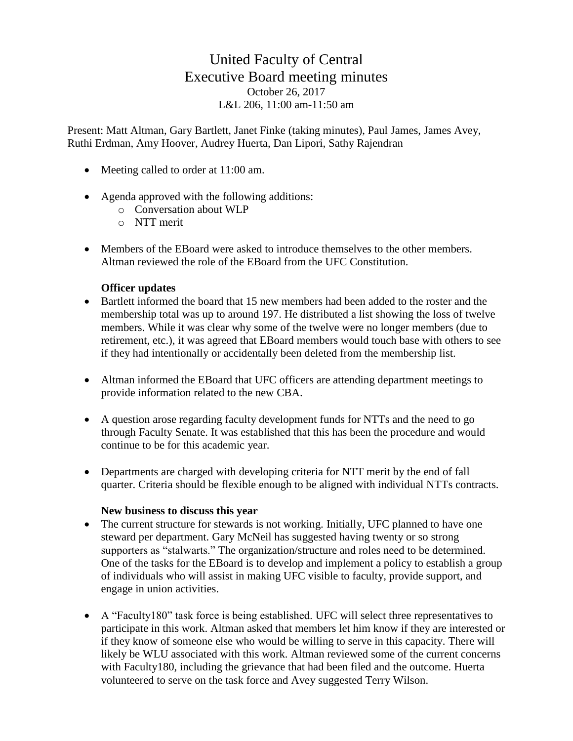## United Faculty of Central Executive Board meeting minutes October 26, 2017 L&L 206, 11:00 am-11:50 am

Present: Matt Altman, Gary Bartlett, Janet Finke (taking minutes), Paul James, James Avey, Ruthi Erdman, Amy Hoover, Audrey Huerta, Dan Lipori, Sathy Rajendran

- Meeting called to order at 11:00 am.
- Agenda approved with the following additions:
	- o Conversation about WLP
	- o NTT merit
- Members of the EBoard were asked to introduce themselves to the other members. Altman reviewed the role of the EBoard from the UFC Constitution.

## **Officer updates**

- Bartlett informed the board that 15 new members had been added to the roster and the membership total was up to around 197. He distributed a list showing the loss of twelve members. While it was clear why some of the twelve were no longer members (due to retirement, etc.), it was agreed that EBoard members would touch base with others to see if they had intentionally or accidentally been deleted from the membership list.
- Altman informed the EBoard that UFC officers are attending department meetings to provide information related to the new CBA.
- A question arose regarding faculty development funds for NTTs and the need to go through Faculty Senate. It was established that this has been the procedure and would continue to be for this academic year.
- Departments are charged with developing criteria for NTT merit by the end of fall quarter. Criteria should be flexible enough to be aligned with individual NTTs contracts.

## **New business to discuss this year**

- The current structure for stewards is not working. Initially, UFC planned to have one steward per department. Gary McNeil has suggested having twenty or so strong supporters as "stalwarts." The organization/structure and roles need to be determined. One of the tasks for the EBoard is to develop and implement a policy to establish a group of individuals who will assist in making UFC visible to faculty, provide support, and engage in union activities.
- A "Faculty180" task force is being established. UFC will select three representatives to participate in this work. Altman asked that members let him know if they are interested or if they know of someone else who would be willing to serve in this capacity. There will likely be WLU associated with this work. Altman reviewed some of the current concerns with Faculty180, including the grievance that had been filed and the outcome. Huerta volunteered to serve on the task force and Avey suggested Terry Wilson.